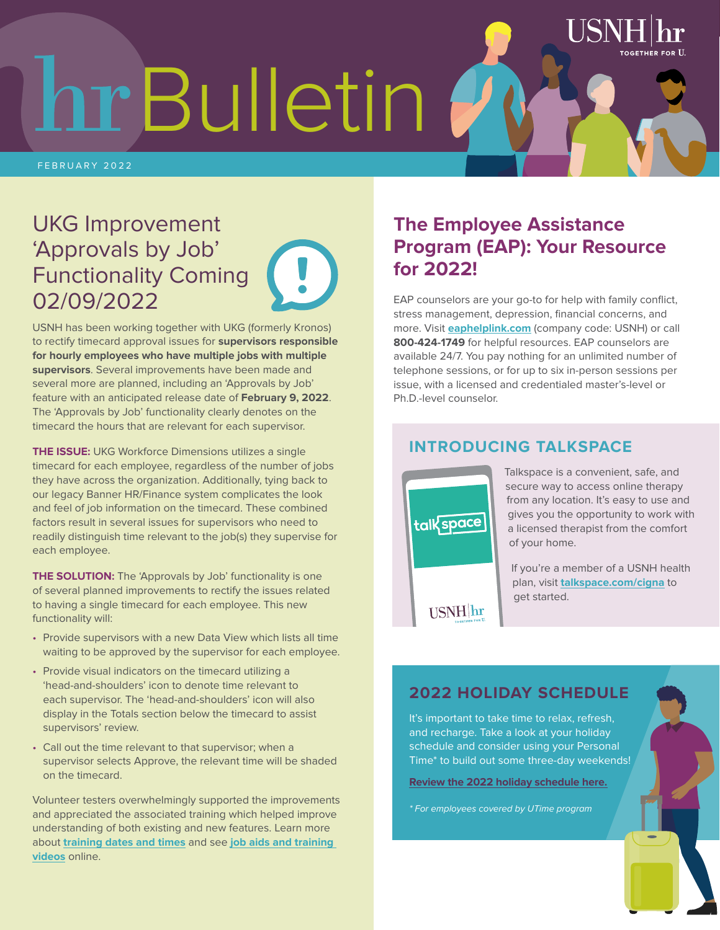hr Bulletin

FEBRUARY 2022

## UKG Improvement 'Approvals by Job' Functionality Coming 02/09/2022



 $H_{\rm H}$  is a set of  $H_{\rm H}$  in  $H_{\rm H}$  in  $H_{\rm H}$  in  $H_{\rm H}$  is a set of  $H_{\rm H}$  in  $H_{\rm H}$  is a set of  $H_{\rm H}$  in  $H_{\rm H}$  is a set of  $H_{\rm H}$  is a set of  $H_{\rm H}$  is a set of  $H_{\rm H}$  is a set of  $H_{\rm H}$  is a

USNH has been working together with UKG (formerly Kronos) to rectify timecard approval issues for **supervisors responsible for hourly employees who have multiple jobs with multiple supervisors**. Several improvements have been made and several more are planned, including an 'Approvals by Job' feature with an anticipated release date of **February 9, 2022**. The 'Approvals by Job' functionality clearly denotes on the timecard the hours that are relevant for each supervisor.

**THE ISSUE:** UKG Workforce Dimensions utilizes a single timecard for each employee, regardless of the number of jobs they have across the organization. Additionally, tying back to our legacy Banner HR/Finance system complicates the look and feel of job information on the timecard. These combined factors result in several issues for supervisors who need to readily distinguish time relevant to the job(s) they supervise for each employee.

**THE SOLUTION:** The 'Approvals by Job' functionality is one of several planned improvements to rectify the issues related to having a single timecard for each employee. This new functionality will:

- Provide supervisors with a new Data View which lists all time waiting to be approved by the supervisor for each employee.
- Provide visual indicators on the timecard utilizing a 'head-and-shoulders' icon to denote time relevant to each supervisor. The 'head-and-shoulders' icon will also display in the Totals section below the timecard to assist supervisors' review.
- Call out the time relevant to that supervisor; when a supervisor selects Approve, the relevant time will be shaded on the timecard.

Volunteer testers overwhelmingly supported the improvements and appreciated the associated training which helped improve understanding of both existing and new features. Learn more about **[training dates and times](https://ittraining.unh.edu/apps/ssr?action=course&id=1401)** and see **[job aids and training](https://www.usnh.edu/human-resources/kronos-information-and-resources)  [videos](https://www.usnh.edu/human-resources/kronos-information-and-resources)** online.

## **The Employee Assistance Program (EAP): Your Resource for 2022!**

EAP counselors are your go-to for help with family conflict, stress management, depression, financial concerns, and more. Visit **[eaphelplink.com](http://www.eaphelplink.com/)** (company code: USNH) or call **800-424-1749** for helpful resources. EAP counselors are available 24/7. You pay nothing for an unlimited number of telephone sessions, or for up to six in-person sessions per issue, with a licensed and credentialed master's-level or Ph.D.-level counselor.

### **INTRODUCING TALKSPACE**



Talkspace is a convenient, safe, and secure way to access online therapy from any location. It's easy to use and gives you the opportunity to work with a licensed therapist from the comfort of your home.

If you're a member of a USNH health plan, visit **[talkspace.com/c](http://www.talkspace.com/cigna)igna** to get started.

## **2022 HOLIDAY SCHEDULE**

It's important to take time to relax, refresh, and recharge. Take a look at your holiday schedule and consider using your Personal Time\* to build out some three-day weekends!

**[Review the 2022 holiday schedule here.](https://www.usnh.edu/sites/default/files/hr/resources/pdf/usnh-holiday-schedule-2022.pdf)**

**PLUM** *TEXT GRAY SEAL GRAY SEAL FOR EMployees covered by UTime program*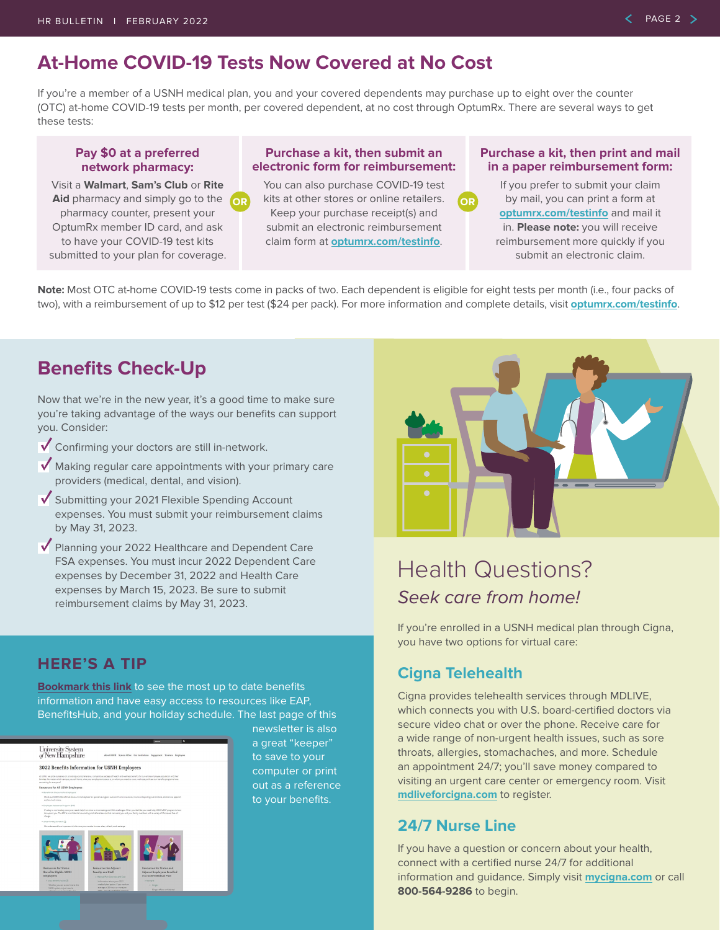## **At-Home COVID-19 Tests Now Covered at No Cost**

If you're a member of a USNH medical plan, you and your covered dependents may purchase up to eight over the counter (OTC) at-home COVID-19 tests per month, per covered dependent, at no cost through OptumRx. There are several ways to get these tests:

### **Pay \$0 at a preferred network pharmacy:**

Visit a **Walmart**, **Sam's Club** or **Rite Aid** pharmacy and simply go to the pharmacy counter, present your OptumRx member ID card, and ask to have your COVID-19 test kits submitted to your plan for coverage.

### **Purchase a kit, then submit an electronic form for reimbursement:**

You can also purchase COVID-19 test kits at other stores or online retailers. **OR OR**Keep your purchase receipt(s) and submit an electronic reimbursement claim form at **[optumrx.com/testinfo](https://www.optumrx.com/content/rxmember/default/en_us/angular-free/optumrx/Information-Center/test-reimbursement.html?is=orxrd:orx:covidtest)**.

### **Purchase a kit, then print and mail in a paper reimbursement form:**

If you prefer to submit your claim by mail, you can print a form at **[optumrx.com/testinfo](https://www.optumrx.com/content/rxmember/default/en_us/angular-free/optumrx/Information-Center/test-reimbursement.html?is=orxrd:orx:covidtest)** and mail it in. **Please note:** you will receive reimbursement more quickly if you submit an electronic claim.

**Note:** Most OTC at-home COVID-19 tests come in packs of two. Each dependent is eligible for eight tests per month (i.e., four packs of two), with a reimbursement of up to \$12 per test (\$24 per pack). For more information and complete details, visit **[optumrx.com/testinfo](https://www.optumrx.com/content/rxmember/default/en_us/angular-free/optumrx/Information-Center/test-reimbursement.html?is=orxrd:orx:covidtest)**.

## **Benefits Check-Up**

Now that we're in the new year, it's a good time to make sure you're taking advantage of the ways our benefits can support you. Consider:

- Confirming your doctors are still in-network.
- $\sqrt{\ }$  Making regular care appointments with your primary care providers (medical, dental, and vision).
- Submitting your 2021 Flexible Spending Account expenses. You must submit your reimbursement claims by May 31, 2023.
- Planning your 2022 Healthcare and Dependent Care FSA expenses. You must incur 2022 Dependent Care expenses by December 31, 2022 and Health Care expenses by March 15, 2023. Be sure to submit reimbursement claims by May 31, 2023.



## Health Questions? *Seek care from home!*

If you're enrolled in a USNH medical plan through Cigna, you have two options for virtual care:

### **Cigna Telehealth**

Cigna provides telehealth services through MDLIVE, which connects you with U.S. board-certified doctors via secure video chat or over the phone. Receive care for a wide range of non-urgent health issues, such as sore throats, allergies, stomachaches, and more. Schedule an appointment 24/7; you'll save money compared to visiting an urgent care center or emergency room. Visit **[mdliveforcigna.com](https://www.mdliveforcigna.com/)** to register.

### **24/7 Nurse Line**

If you have a question or concern about your health, connect with a certified nurse 24/7 for additional information and guidance. Simply visit **[mycigna.com](http://mycigna.com)** or call **800-564-9286** to begin.

### **HERE'S A TIP**

**[Bookmark this link](https://www.usnh.edu/human-resources/
employee-benefits-2022)** to see the most up to date benefits information and have easy access to resources like EAP, BenefitsHub, and your holiday schedule. The last page of this

#### University System<br>of New Hampshire

2022 Benefits Information for USNH Employees



newsletter is also a great "keeper" to save to your computer or print out as a reference to your benefits.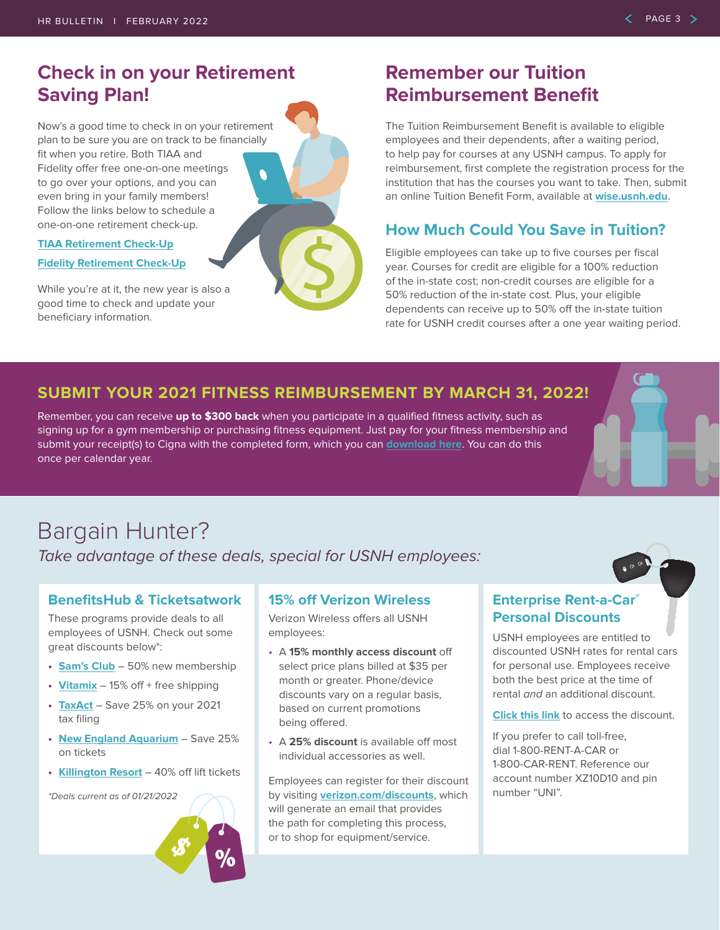## **Check in on your Retirement Saving Plan!**

Now's a good time to check in on your retirement plan to be sure you are on track to be financially fit when you retire. Both TIAA and Fidelity offer free one-on-one meetings  $\bullet$ to go over your options, and you can even bring in your family members! Follow the links below to schedule a one-on-one retirement check-up.

#### **[TIAA Retirement Check-Up](https://www.tiaa.org/public/tcm/usnh)**

#### **[Fidelity Retirement Check-Up](https://nb.fidelity.com/public/nb/usnh/contactus/schedule-a-meeting)**

While you're at it, the new year is also a good time to check and update your beneficiary information.

## **Remember our Tuition Reimbursement Benefit**

The Tuition Reimbursement Benefit is available to eligible employees and their dependents, after a waiting period, to help pay for courses at any USNH campus. To apply for reimbursement, first complete the registration process for the institution that has the courses you want to take. Then, submit an online Tuition Benefit Form, available at **[wise.usnh.edu](https://wise.usnh.edu/)**.

### **How Much Could You Save in Tuition?**

Eligible employees can take up to five courses per fiscal year. Courses for credit are eligible for a 100% reduction of the in-state cost; non-credit courses are eligible for a 50% reduction of the in-state cost. Plus, your eligible dependents can receive up to 50% off the in-state tuition rate for USNH credit courses after a one year waiting period.

### **SUBMIT YOUR 2021 FITNESS REIMBURSEMENT BY MARCH 31, 2022!**

Remember, you can receive **up to \$300 back** when you participate in a qualified fitness activity, such as signing up for a gym membership or purchasing fitness equipment. Just pay for your fitness membership and submit your receipt(s) to Cigna with the completed form, which you can **[download here](https://www.usnh.edu/sites/default/files/hr/resources/benefits/pdf/fitness-reimbursement-form-2021.pdf)**. You can do this once per calendar year.

## Bargain Hunter?

*Take advantage of these deals, special for USNH employees:*

### **BenefitsHub & Ticketsatwork**

These programs provide deals to all employees of USNH. Check out some great discounts below\*:

- **• [Sam's Club](https://usnh.benefithub.com/app/vendor/5213dc6414f1d913e86339d0)** 50% new membership
- **• [Vitamix](https://usnh.benefithub.com/app/vendor/56292f56c65af00c605f2f8f)** 15% off + free shipping
- **• [TaxAct](https://usnh.benefithub.com/app/vendor/5fdcdc48a1c9ed1110de81f9)** Save 25% on your 2021 tax filing
- **• [New England Aquarium](https://www.ticketsatwork.com/affiliates/motivano/packages.php?sub=packages&action=view&id=845)** Save 25% on tickets
- **• [Killington Resort](https://www.ticketsatwork.com/affiliates/motivano/packages.php?sub=packages&action=view&id=849)** 40% off lift tickets

*\*Deals current as of 01/21/2022*

### **15% off Verizon Wireless**

Verizon Wireless offers all USNH employees:

- A **15% monthly access discount** off select price plans billed at \$35 per month or greater. Phone/device discounts vary on a regular basis, based on current promotions being offered.
- A **25% discount** is available off most individual accessories as well.

Employees can register for their discount by visiting **[verizon.com/discounts](https://www.verizon.com/discounts/)**, which will generate an email that provides the path for completing this process, or to shop for equipment/service.

### **Enterprise Rent-a-Car® Personal Discounts**

USNH employees are entitled to discounted USNH rates for rental cars for personal use. Employees receive both the best price at the time of rental *and* an additional discount.

**[Click this link](https://legacy.enterprise.com/car_rental/deeplinkmap.do?bid=028&refId=UNINEWH)** to access the discount.

If you prefer to call toll-free, dial 1-800-RENT-A-CAR or 1-800-CAR-RENT. Reference our account number XZ10D10 and pin number "UNI".